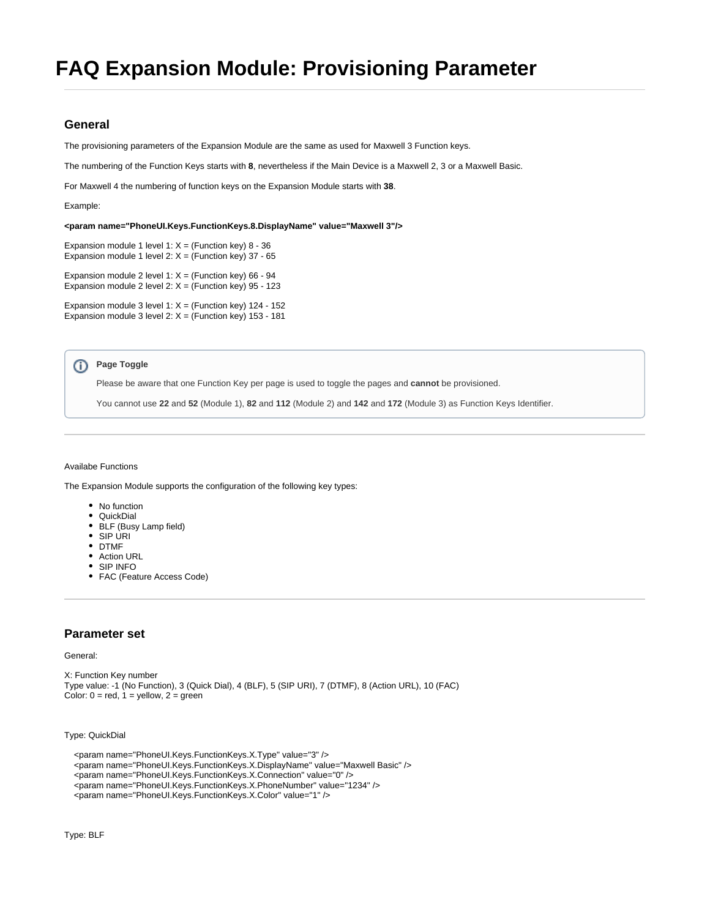# **FAQ Expansion Module: Provisioning Parameter**

# **General**

The provisioning parameters of the Expansion Module are the same as used for Maxwell 3 Function keys.

The numbering of the Function Keys starts with **8**, nevertheless if the Main Device is a Maxwell 2, 3 or a Maxwell Basic.

For Maxwell 4 the numbering of function keys on the Expansion Module starts with **38**.

Example:

**<param name="PhoneUI.Keys.FunctionKeys.8.DisplayName" value="Maxwell 3"/>**

Expansion module 1 level 1:  $X =$  (Function key) 8 - 36 Expansion module 1 level 2:  $X =$  (Function key) 37 - 65

Expansion module 2 level 1:  $X =$  (Function key) 66 - 94 Expansion module 2 level 2:  $X = (Function key) 95 - 123$ 

Expansion module 3 level 1:  $X =$  (Function key) 124 - 152 Expansion module 3 level 2:  $X =$  (Function key) 153 - 181

#### **Page Toggle** (i)

Please be aware that one Function Key per page is used to toggle the pages and **cannot** be provisioned.

You cannot use **22** and **52** (Module 1), **82** and **112** (Module 2) and **142** and **172** (Module 3) as Function Keys Identifier.

### Availabe Functions

The Expansion Module supports the configuration of the following key types:

- No function
- QuickDial
- BLF (Busy Lamp field)
- $\bullet$  SIP URI
- DTMF
- Action URL SIP INFO
- FAC (Feature Access Code)

## **Parameter set**

### General:

```
X: Function Key number
Type value: -1 (No Function), 3 (Quick Dial), 4 (BLF), 5 (SIP URI), 7 (DTMF), 8 (Action URL), 10 (FAC)
Color: 0 = red, 1 = yellow, 2 = green
```
Type: QuickDial

```
 <param name="PhoneUI.Keys.FunctionKeys.X.Type" value="3" />
 <param name="PhoneUI.Keys.FunctionKeys.X.DisplayName" value="Maxwell Basic" />
 <param name="PhoneUI.Keys.FunctionKeys.X.Connection" value="0" />
 <param name="PhoneUI.Keys.FunctionKeys.X.PhoneNumber" value="1234" />
 <param name="PhoneUI.Keys.FunctionKeys.X.Color" value="1" />
```